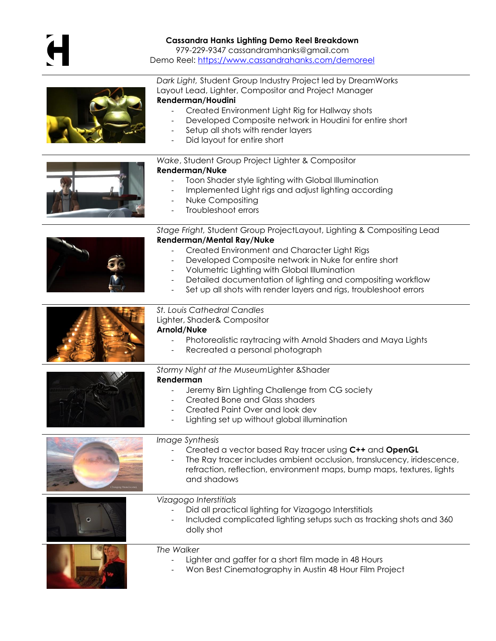## **Cassandra Hanks Lighting Demo Reel Breakdown**

979-229-9347 cassandramhanks@gmail.com

Demo Reel:<https://www.cassandrahanks.com/demoreel>

|--|

*Dark Light,* Student Group Industry Project led by DreamWorks Layout Lead, Lighter, Compositor and Project Manager

## **Renderman/Houdini**

- Created Environment Light Rig for Hallway shots
- Developed Composite network in Houdini for entire short
- Setup all shots with render layers
- Did layout for entire short

## *Wake*, Student Group Project Lighter & Compositor **Renderman/Nuke**

- Toon Shader style lighting with Global Illumination
- Implemented Light rigs and adjust lighting according
- Nuke Compositing
- Troubleshoot errors

|                                            | Stage Fright, Student Group ProjectLayout, Lighting & Compositing Lead                                                                                                                                                                     |
|--------------------------------------------|--------------------------------------------------------------------------------------------------------------------------------------------------------------------------------------------------------------------------------------------|
|                                            | <b>Renderman/Mental Ray/Nuke</b><br>Created Environment and Character Light Rigs<br>Developed Composite network in Nuke for entire short                                                                                                   |
|                                            | Volumetric Lighting with Global Illumination                                                                                                                                                                                               |
|                                            | Detailed documentation of lighting and compositing workflow<br>Set up all shots with render layers and rigs, troubleshoot errors                                                                                                           |
| <b>St. Louis Cathedral Candles</b>         |                                                                                                                                                                                                                                            |
|                                            | Lighter, Shader& Compositor<br>Arnold/Nuke                                                                                                                                                                                                 |
|                                            | Photorealistic raytracing with Arnold Shaders and Maya Lights<br>Recreated a personal photograph                                                                                                                                           |
| Stormy Night at the MuseumLighter & Shader |                                                                                                                                                                                                                                            |
|                                            | Renderman<br>Jeremy Birn Lighting Challenge from CG society<br>Created Bone and Glass shaders<br>Created Paint Over and look dev<br>Lighting set up without global illumination                                                            |
|                                            | Image Synthesis<br>Created a vector based Ray tracer using C++ and OpenGL<br>The Ray tracer includes ambient occlusion, translucency, iridescence,<br>refraction, reflection, environment maps, bump maps, textures, lights<br>and shadows |
|                                            | Vizagogo Interstitials<br>Did all practical lighting for Vizagogo Interstitials<br>Included complicated lighting setups such as tracking shots and 360<br>dolly shot                                                                       |
|                                            | The Walker<br>Lighter and gaffer for a short film made in 48 Hours<br>Won Best Cinematography in Austin 48 Hour Film Project                                                                                                               |